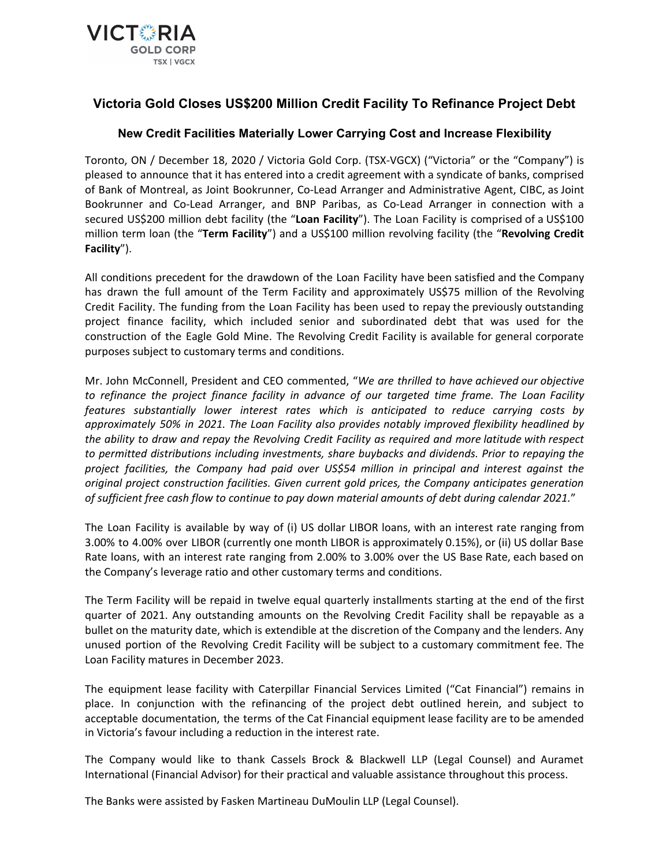

# **Victoria Gold Closes US\$200 Million Credit Facility To Refinance Project Debt**

## **New Credit Facilities Materially Lower Carrying Cost and Increase Flexibility**

Toronto, ON / December 18, 2020 / Victoria Gold Corp. (TSX-VGCX) ("Victoria" or the "Company") is pleased to announce that it has entered into a credit agreement with a syndicate of banks, comprised of Bank of Montreal, as Joint Bookrunner, Co-Lead Arranger and Administrative Agent, CIBC, as Joint Bookrunner and Co-Lead Arranger, and BNP Paribas, as Co-Lead Arranger in connection with a secured US\$200 million debt facility (the "**Loan Facility**"). The Loan Facility is comprised of a US\$100 million term loan (the "**Term Facility**") and a US\$100 million revolving facility (the "**Revolving Credit Facility**").

All conditions precedent for the drawdown of the Loan Facility have been satisfied and the Company has drawn the full amount of the Term Facility and approximately US\$75 million of the Revolving Credit Facility. The funding from the Loan Facility has been used to repay the previously outstanding project finance facility, which included senior and subordinated debt that was used for the construction of the Eagle Gold Mine. The Revolving Credit Facility is available for general corporate purposes subject to customary terms and conditions.

Mr. John McConnell, President and CEO commented, "*We are thrilled to have achieved our objective to refinance the project finance facility in advance of our targeted time frame. The Loan Facility features substantially lower interest rates which is anticipated to reduce carrying costs by approximately 50% in 2021. The Loan Facility also provides notably improved flexibility headlined by the ability to draw and repay the Revolving Credit Facility as required and more latitude with respect to permitted distributions including investments, share buybacks and dividends. Prior to repaying the project facilities, the Company had paid over US\$54 million in principal and interest against the original project construction facilities. Given current gold prices, the Company anticipates generation of sufficient free cash flow to continue to pay down material amounts of debt during calendar 2021.*"

The Loan Facility is available by way of (i) US dollar LIBOR loans, with an interest rate ranging from 3.00% to 4.00% over LIBOR (currently one month LIBOR is approximately 0.15%), or (ii) US dollar Base Rate loans, with an interest rate ranging from 2.00% to 3.00% over the US Base Rate, each based on the Company's leverage ratio and other customary terms and conditions.

The Term Facility will be repaid in twelve equal quarterly installments starting at the end of the first quarter of 2021. Any outstanding amounts on the Revolving Credit Facility shall be repayable as a bullet on the maturity date, which is extendible at the discretion of the Company and the lenders. Any unused portion of the Revolving Credit Facility will be subject to a customary commitment fee. The Loan Facility matures in December 2023.

The equipment lease facility with Caterpillar Financial Services Limited ("Cat Financial") remains in place. In conjunction with the refinancing of the project debt outlined herein, and subject to acceptable documentation, the terms of the Cat Financial equipment lease facility are to be amended in Victoria's favour including a reduction in the interest rate.

The Company would like to thank Cassels Brock & Blackwell LLP (Legal Counsel) and Auramet International (Financial Advisor) for their practical and valuable assistance throughout this process.

The Banks were assisted by Fasken Martineau DuMoulin LLP (Legal Counsel).